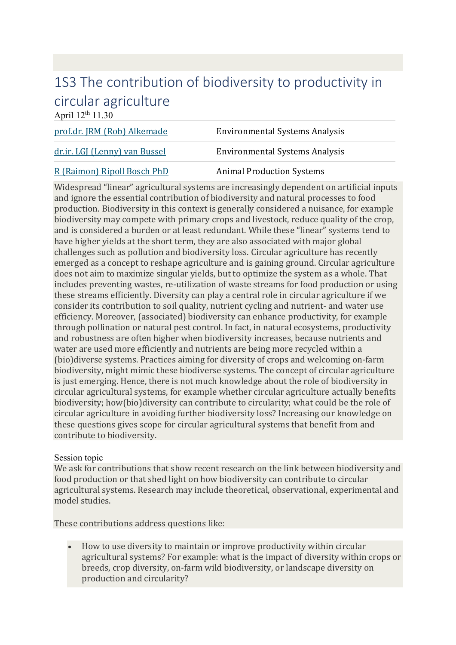## [1S3 The contribution of biodiversity to productivity in](https://www.wur.nl/en/article/Biosphere-Sessions.htm)  [circular agriculture](https://www.wur.nl/en/article/Biosphere-Sessions.htm)

April  $12^{th}$  11.30

| prof.dr. JRM (Rob) Alkemade   | <b>Environmental Systems Analysis</b> |
|-------------------------------|---------------------------------------|
| dr.ir. LGJ (Lenny) van Bussel | <b>Environmental Systems Analysis</b> |
| R (Raimon) Ripoll Bosch PhD   | <b>Animal Production Systems</b>      |

Widespread "linear" agricultural systems are increasingly dependent on artificial inputs and ignore the essential contribution of biodiversity and natural processes to food production. Biodiversity in this context is generally considered a nuisance, for example biodiversity may compete with primary crops and livestock, reduce quality of the crop, and is considered a burden or at least redundant. While these "linear" systems tend to have higher yields at the short term, they are also associated with major global challenges such as pollution and biodiversity loss. Circular agriculture has recently emerged as a concept to reshape agriculture and is gaining ground. Circular agriculture does not aim to maximize singular yields, but to optimize the system as a whole. That includes preventing wastes, re-utilization of waste streams for food production or using these streams efficiently. Diversity can play a central role in circular agriculture if we consider its contribution to soil quality, nutrient cycling and nutrient- and water use efficiency. Moreover, (associated) biodiversity can enhance productivity, for example through pollination or natural pest control. In fact, in natural ecosystems, productivity and robustness are often higher when biodiversity increases, because nutrients and water are used more efficiently and nutrients are being more recycled within a (bio)diverse systems. Practices aiming for diversity of crops and welcoming on-farm biodiversity, might mimic these biodiverse systems. The concept of circular agriculture is just emerging. Hence, there is not much knowledge about the role of biodiversity in circular agricultural systems, for example whether circular agriculture actually benefits biodiversity; how(bio)diversity can contribute to circularity; what could be the role of circular agriculture in avoiding further biodiversity loss? Increasing our knowledge on these questions gives scope for circular agricultural systems that benefit from and contribute to biodiversity.

## Session topic

We ask for contributions that show recent research on the link between biodiversity and food production or that shed light on how biodiversity can contribute to circular agricultural systems. Research may include theoretical, observational, experimental and model studies.

These contributions address questions like:

• How to use diversity to maintain or improve productivity within circular agricultural systems? For example: what is the impact of diversity within crops or breeds, crop diversity, on-farm wild biodiversity, or landscape diversity on production and circularity?